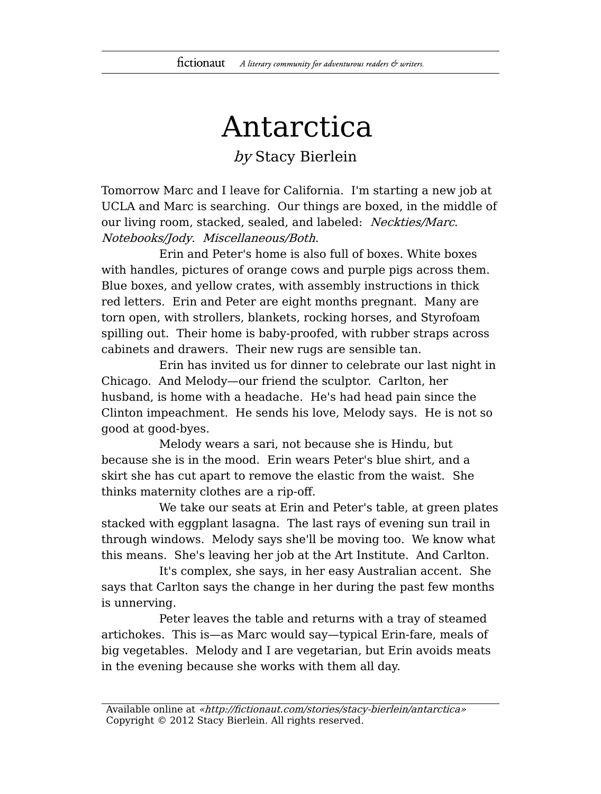## Antarctica

## by Stacy Bierlein

Tomorrow Marc and I leave for California. I'm starting a new job at UCLA and Marc is searching. Our things are boxed, in the middle of our living room, stacked, sealed, and labeled: Neckties/Marc. Notebooks/Jody. Miscellaneous/Both.

Erin and Peter's home is also full of boxes. White boxes with handles, pictures of orange cows and purple pigs across them. Blue boxes, and yellow crates, with assembly instructions in thick red letters. Erin and Peter are eight months pregnant. Many are torn open, with strollers, blankets, rocking horses, and Styrofoam spilling out. Their home is baby-proofed, with rubber straps across cabinets and drawers. Their new rugs are sensible tan.

Erin has invited us for dinner to celebrate our last night in Chicago. And Melody—our friend the sculptor. Carlton, her husband, is home with a headache. He's had head pain since the Clinton impeachment. He sends his love, Melody says. He is not so good at good-byes.

Melody wears a sari, not because she is Hindu, but because she is in the mood. Erin wears Peter's blue shirt, and a skirt she has cut apart to remove the elastic from the waist. She thinks maternity clothes are a rip-off.

We take our seats at Erin and Peter's table, at green plates stacked with eggplant lasagna. The last rays of evening sun trail in through windows. Melody says she'll be moving too. We know what this means. She's leaving her job at the Art Institute. And Carlton.

It's complex, she says, in her easy Australian accent. She says that Carlton says the change in her during the past few months is unnerving.

Peter leaves the table and returns with a tray of steamed artichokes. This is—as Marc would say—typical Erin-fare, meals of big vegetables. Melody and I are vegetarian, but Erin avoids meats in the evening because she works with them all day.

Available online at «http://fictionaut.com/stories/stacy-bierlein/antarctica» Copyright © 2012 Stacy Bierlein. All rights reserved.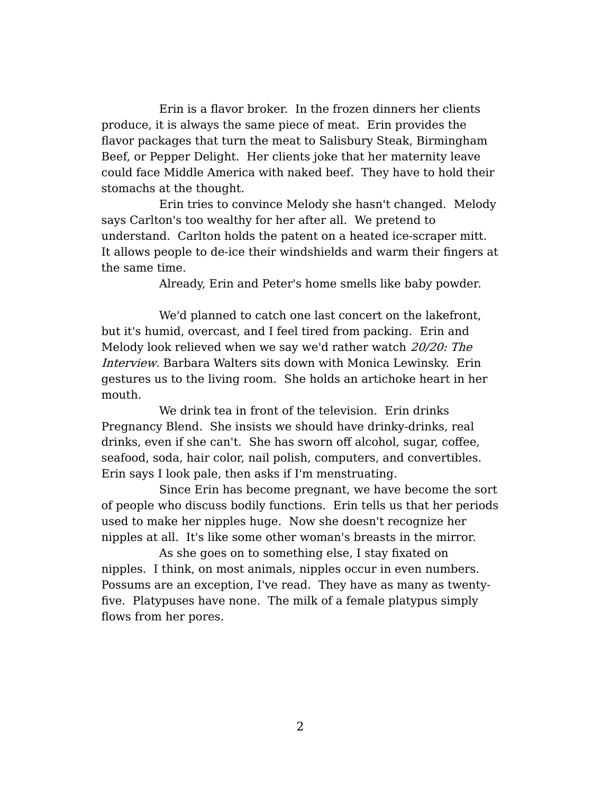Erin is a flavor broker. In the frozen dinners her clients produce, it is always the same piece of meat. Erin provides the flavor packages that turn the meat to Salisbury Steak, Birmingham Beef, or Pepper Delight. Her clients joke that her maternity leave could face Middle America with naked beef. They have to hold their stomachs at the thought.

Erin tries to convince Melody she hasn't changed. Melody says Carlton's too wealthy for her after all. We pretend to understand. Carlton holds the patent on a heated ice-scraper mitt. It allows people to de-ice their windshields and warm their fingers at the same time.

Already, Erin and Peter's home smells like baby powder.

We'd planned to catch one last concert on the lakefront, but it's humid, overcast, and I feel tired from packing. Erin and Melody look relieved when we say we'd rather watch 20/20: The Interview. Barbara Walters sits down with Monica Lewinsky. Erin gestures us to the living room. She holds an artichoke heart in her mouth.

We drink tea in front of the television. Erin drinks Pregnancy Blend. She insists we should have drinky-drinks, real drinks, even if she can't. She has sworn off alcohol, sugar, coffee, seafood, soda, hair color, nail polish, computers, and convertibles. Erin says I look pale, then asks if I'm menstruating.

Since Erin has become pregnant, we have become the sort of people who discuss bodily functions. Erin tells us that her periods used to make her nipples huge. Now she doesn't recognize her nipples at all. It's like some other woman's breasts in the mirror.

As she goes on to something else, I stay fixated on nipples. I think, on most animals, nipples occur in even numbers. Possums are an exception, I've read. They have as many as twentyfive. Platypuses have none. The milk of a female platypus simply flows from her pores.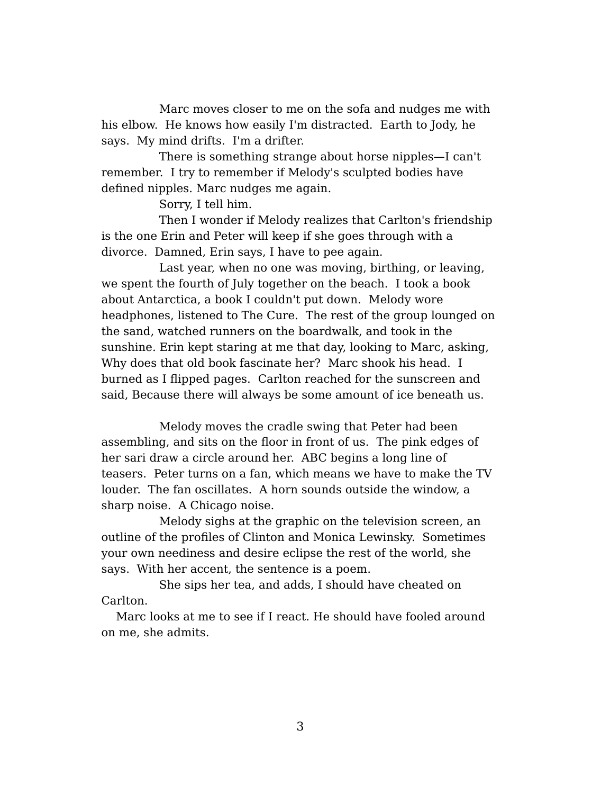Marc moves closer to me on the sofa and nudges me with his elbow. He knows how easily I'm distracted. Earth to Jody, he says. My mind drifts. I'm a drifter.

There is something strange about horse nipples—I can't remember. I try to remember if Melody's sculpted bodies have defined nipples. Marc nudges me again.

Sorry, I tell him.

Then I wonder if Melody realizes that Carlton's friendship is the one Erin and Peter will keep if she goes through with a divorce. Damned, Erin says, I have to pee again.

Last year, when no one was moving, birthing, or leaving, we spent the fourth of July together on the beach. I took a book about Antarctica, a book I couldn't put down. Melody wore headphones, listened to The Cure. The rest of the group lounged on the sand, watched runners on the boardwalk, and took in the sunshine. Erin kept staring at me that day, looking to Marc, asking, Why does that old book fascinate her? Marc shook his head. I burned as I flipped pages. Carlton reached for the sunscreen and said, Because there will always be some amount of ice beneath us.

Melody moves the cradle swing that Peter had been assembling, and sits on the floor in front of us. The pink edges of her sari draw a circle around her. ABC begins a long line of teasers. Peter turns on a fan, which means we have to make the TV louder. The fan oscillates. A horn sounds outside the window, a sharp noise. A Chicago noise.

Melody sighs at the graphic on the television screen, an outline of the profiles of Clinton and Monica Lewinsky. Sometimes your own neediness and desire eclipse the rest of the world, she says. With her accent, the sentence is a poem.

She sips her tea, and adds, I should have cheated on Carlton.

Marc looks at me to see if I react. He should have fooled around on me, she admits.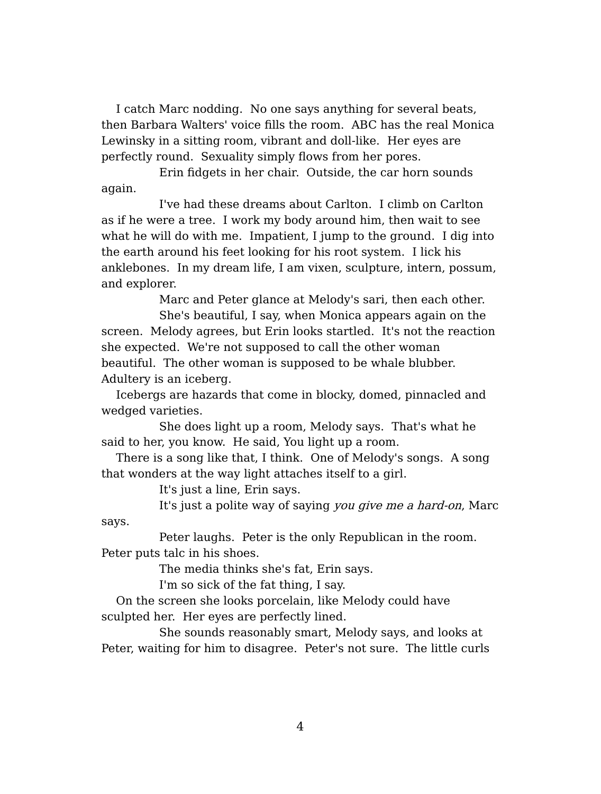I catch Marc nodding. No one says anything for several beats, then Barbara Walters' voice fills the room. ABC has the real Monica Lewinsky in a sitting room, vibrant and doll-like. Her eyes are perfectly round. Sexuality simply flows from her pores.

Erin fidgets in her chair. Outside, the car horn sounds again.

I've had these dreams about Carlton. I climb on Carlton as if he were a tree. I work my body around him, then wait to see what he will do with me. Impatient, I jump to the ground. I dig into the earth around his feet looking for his root system. I lick his anklebones. In my dream life, I am vixen, sculpture, intern, possum, and explorer.

Marc and Peter glance at Melody's sari, then each other.

She's beautiful, I say, when Monica appears again on the screen. Melody agrees, but Erin looks startled. It's not the reaction she expected. We're not supposed to call the other woman beautiful. The other woman is supposed to be whale blubber. Adultery is an iceberg.

Icebergs are hazards that come in blocky, domed, pinnacled and wedged varieties.

She does light up a room, Melody says. That's what he said to her, you know. He said, You light up a room.

There is a song like that, I think. One of Melody's songs. A song that wonders at the way light attaches itself to a girl.

It's just a line, Erin says.

It's just a polite way of saying *you give me a hard-on*, Marc says.

Peter laughs. Peter is the only Republican in the room. Peter puts talc in his shoes.

The media thinks she's fat, Erin says.

I'm so sick of the fat thing, I say.

On the screen she looks porcelain, like Melody could have sculpted her. Her eyes are perfectly lined.

She sounds reasonably smart, Melody says, and looks at Peter, waiting for him to disagree. Peter's not sure. The little curls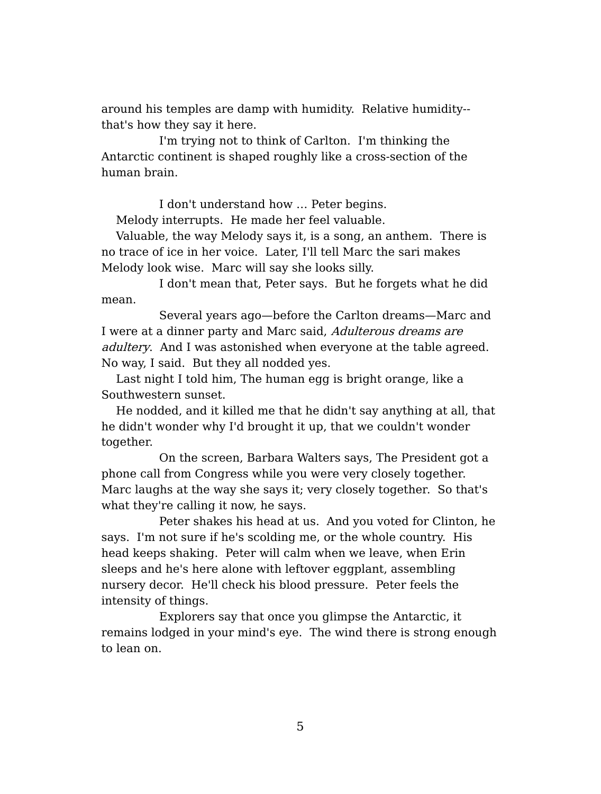around his temples are damp with humidity. Relative humidity- that's how they say it here.

I'm trying not to think of Carlton. I'm thinking the Antarctic continent is shaped roughly like a cross-section of the human brain.

I don't understand how … Peter begins.

Melody interrupts. He made her feel valuable.

Valuable, the way Melody says it, is a song, an anthem. There is no trace of ice in her voice. Later, I'll tell Marc the sari makes Melody look wise. Marc will say she looks silly.

I don't mean that, Peter says. But he forgets what he did mean.

Several years ago—before the Carlton dreams—Marc and I were at a dinner party and Marc said, Adulterous dreams are adultery. And I was astonished when everyone at the table agreed. No way, I said. But they all nodded yes.

Last night I told him, The human egg is bright orange, like a Southwestern sunset.

He nodded, and it killed me that he didn't say anything at all, that he didn't wonder why I'd brought it up, that we couldn't wonder together.

On the screen, Barbara Walters says, The President got a phone call from Congress while you were very closely together. Marc laughs at the way she says it; very closely together. So that's what they're calling it now, he says.

Peter shakes his head at us. And you voted for Clinton, he says. I'm not sure if he's scolding me, or the whole country. His head keeps shaking. Peter will calm when we leave, when Erin sleeps and he's here alone with leftover eggplant, assembling nursery decor. He'll check his blood pressure. Peter feels the intensity of things.

Explorers say that once you glimpse the Antarctic, it remains lodged in your mind's eye. The wind there is strong enough to lean on.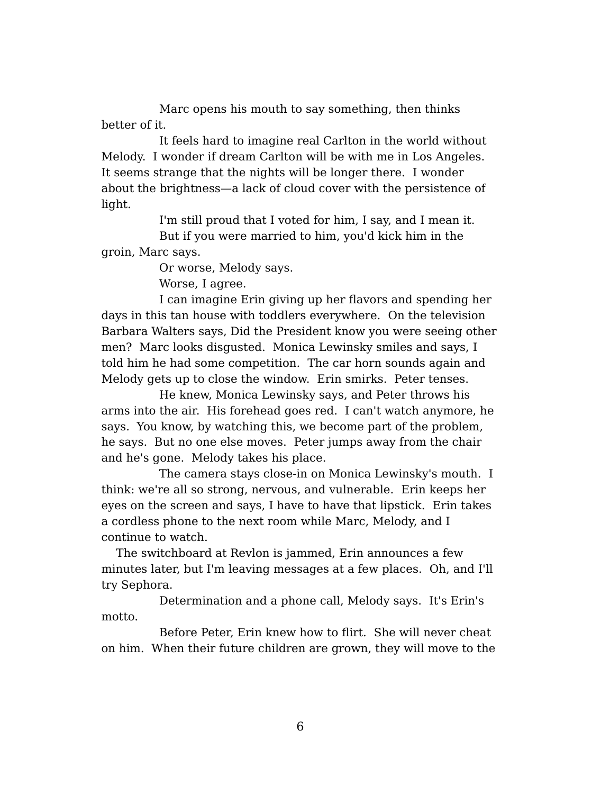Marc opens his mouth to say something, then thinks better of it.

It feels hard to imagine real Carlton in the world without Melody. I wonder if dream Carlton will be with me in Los Angeles. It seems strange that the nights will be longer there. I wonder about the brightness—a lack of cloud cover with the persistence of light.

I'm still proud that I voted for him, I say, and I mean it.

But if you were married to him, you'd kick him in the groin, Marc says.

Or worse, Melody says.

Worse, I agree.

I can imagine Erin giving up her flavors and spending her days in this tan house with toddlers everywhere. On the television Barbara Walters says, Did the President know you were seeing other men? Marc looks disgusted. Monica Lewinsky smiles and says, I told him he had some competition. The car horn sounds again and Melody gets up to close the window. Erin smirks. Peter tenses.

He knew, Monica Lewinsky says, and Peter throws his arms into the air. His forehead goes red. I can't watch anymore, he says. You know, by watching this, we become part of the problem, he says. But no one else moves. Peter jumps away from the chair and he's gone. Melody takes his place.

The camera stays close-in on Monica Lewinsky's mouth. I think: we're all so strong, nervous, and vulnerable. Erin keeps her eyes on the screen and says, I have to have that lipstick. Erin takes a cordless phone to the next room while Marc, Melody, and I continue to watch.

The switchboard at Revlon is jammed, Erin announces a few minutes later, but I'm leaving messages at a few places. Oh, and I'll try Sephora.

Determination and a phone call, Melody says. It's Erin's motto.

Before Peter, Erin knew how to flirt. She will never cheat on him. When their future children are grown, they will move to the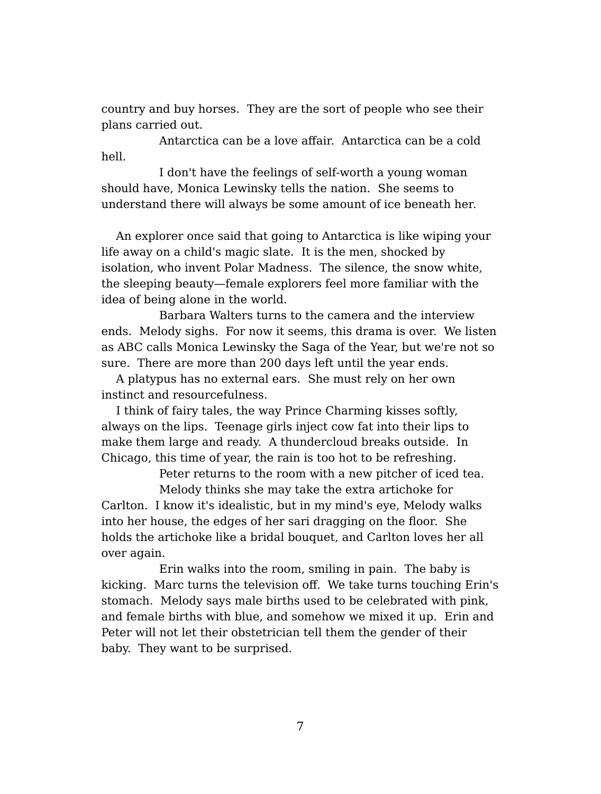country and buy horses. They are the sort of people who see their plans carried out.

Antarctica can be a love affair. Antarctica can be a cold hell.

I don't have the feelings of self-worth a young woman should have, Monica Lewinsky tells the nation. She seems to understand there will always be some amount of ice beneath her.

An explorer once said that going to Antarctica is like wiping your life away on a child's magic slate. It is the men, shocked by isolation, who invent Polar Madness. The silence, the snow white, the sleeping beauty—female explorers feel more familiar with the idea of being alone in the world.

Barbara Walters turns to the camera and the interview ends. Melody sighs. For now it seems, this drama is over. We listen as ABC calls Monica Lewinsky the Saga of the Year, but we're not so sure. There are more than 200 days left until the year ends.

A platypus has no external ears. She must rely on her own instinct and resourcefulness.

I think of fairy tales, the way Prince Charming kisses softly, always on the lips. Teenage girls inject cow fat into their lips to make them large and ready. A thundercloud breaks outside. In Chicago, this time of year, the rain is too hot to be refreshing.

Peter returns to the room with a new pitcher of iced tea. Melody thinks she may take the extra artichoke for Carlton. I know it's idealistic, but in my mind's eye, Melody walks into her house, the edges of her sari dragging on the floor. She holds the artichoke like a bridal bouquet, and Carlton loves her all over again.

Erin walks into the room, smiling in pain. The baby is kicking. Marc turns the television off. We take turns touching Erin's stomach. Melody says male births used to be celebrated with pink, and female births with blue, and somehow we mixed it up. Erin and Peter will not let their obstetrician tell them the gender of their baby. They want to be surprised.